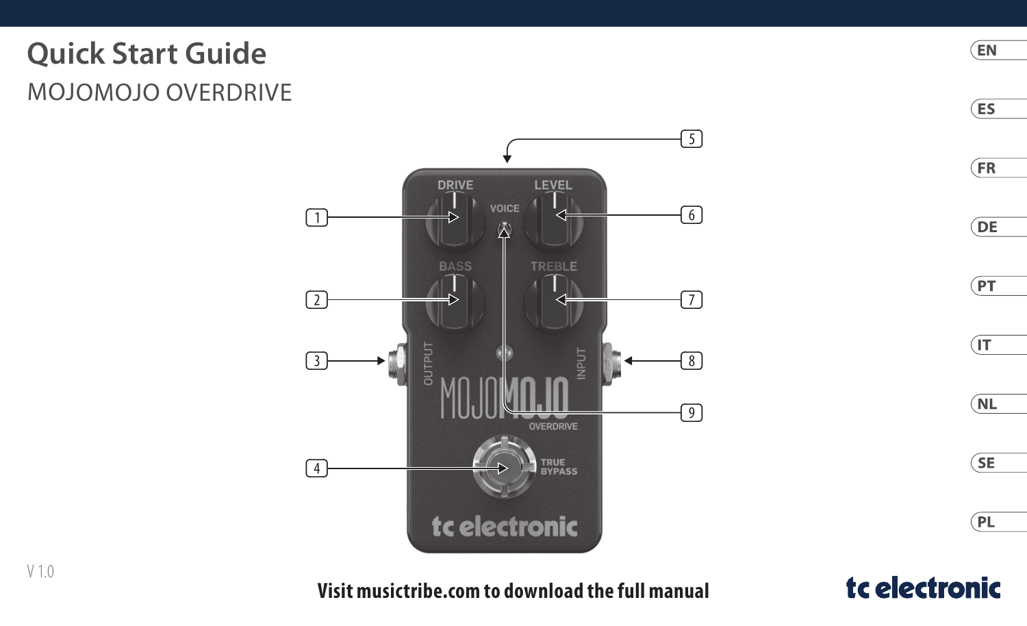# **Quick Start Guide** MOJOMOJO OVERDRIVE





tc electronic

(EN  $(ES)$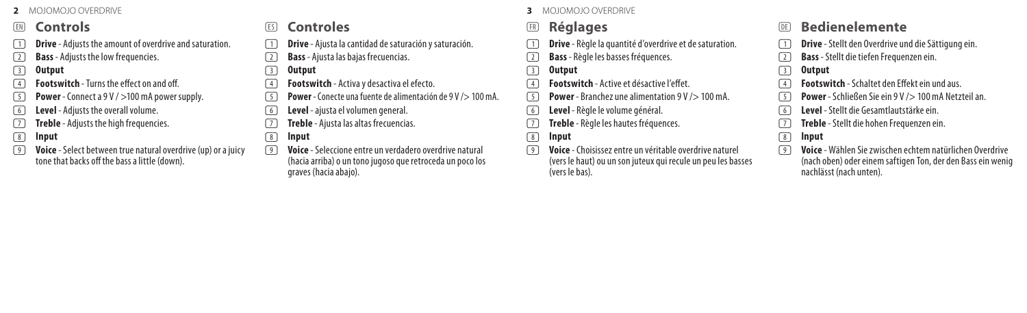#### (EN) **Controls**

- (1) **Drive** Adjusts the amount of overdrive and saturation.
- (2) **Bass** Adjusts the low frequencies.
- (3) **Output**
- (4) **Footswitch** Turns the effect on and off.
- (5) **Power** Connect a 9 V / >100 mA power supply.
- (6) **Level** Adjusts the overall volume.
- (7) **Treble** Adjusts the high frequencies.
- (8) **Input**
- (9) **Voice** Select between true natural overdrive (up) or a juicy tone that backs off the bass a little (down).

## (ES) **Controles**

- (1) **Drive** Ajusta la cantidad de saturación y saturación.
- (2) **Bass** Ajusta las bajas frecuencias.
- (3) **Output**
- (4) **Footswitch** Activa y desactiva el efecto.
- (5) **Power** Conecte una fuente de alimentación de 9 V /> 100 mA.
- (6) **Level** ajusta el volumen general.
- (7) **Treble** Ajusta las altas frecuencias.
- (8) **Input**
- (9) **Voice** Seleccione entre un verdadero overdrive natural (hacia arriba) o un tono jugoso que retroceda un poco los graves (hacia abajo).

#### **2** MOJOMOJO OVERDRIVE **3** MOJOMOJO OVERDRIVE

## (FR) **Réglages**

- (1) **Drive** Règle la quantité d'overdrive et de saturation.
- (2) **Bass** Règle les basses fréquences.

#### (3) **Output**

- (4) **Footswitch** Active et désactive l'effet.
- (5) **Power** Branchez une alimentation 9 V /> 100 mA.
- (6) **Level** Règle le volume général.
- (7) **Treble** Règle les hautes fréquences.
- (8) **Input**
- (9) **Voice** Choisissez entre un véritable overdrive naturel (vers le haut) ou un son juteux qui recule un peu les basses (vers le bas).

## (DE) **Bedienelemente**

- (1) **Drive** Stellt den Overdrive und die Sättigung ein.
- (2) **Bass** Stellt die tiefen Frequenzen ein.
- (3) **Output**
- (4) **Footswitch** Schaltet den Effekt ein und aus.
- (5) **Power** Schließen Sie ein 9 V /> 100 mA Netzteil an.
- (6) **Level** Stellt die Gesamtlautstärke ein.
- (7) **Treble** Stellt die hohen Frequenzen ein.
- (8) **Input**
- (9) **Voice** Wählen Sie zwischen echtem natürlichen Overdrive (nach oben) oder einem saftigen Ton, der den Bass ein wenig nachlässt (nach unten).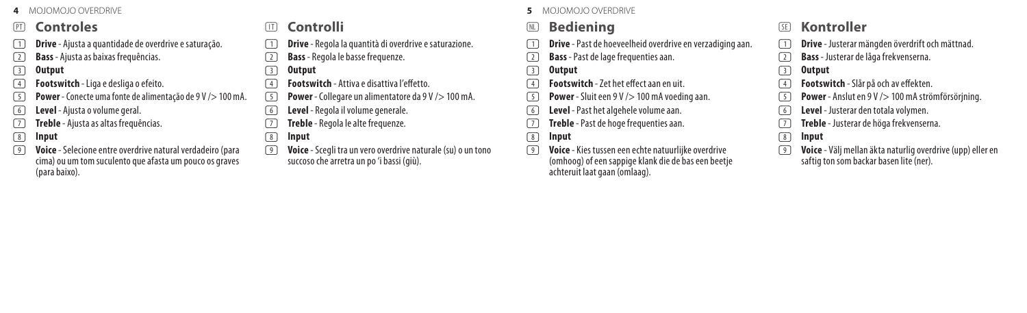## (PT) **Controles**

- (1) **Drive** Ajusta a quantidade de overdrive e saturação.
- (2) **Bass** Ajusta as baixas frequências.
- (3) **Output**
- (4) **Footswitch** Liga e desliga o efeito.
- (5) **Power** Conecte uma fonte de alimentação de 9 V /> 100 mA.
- (6) **Level** Ajusta o volume geral.
- (7) **Treble** Ajusta as altas frequências.
- (8) **Input**
- (9) **Voice** Selecione entre overdrive natural verdadeiro (para cima) ou um tom suculento que afasta um pouco os graves (para baixo).

## (IT) **Controlli**

- (1) **Drive** Regola la quantità di overdrive e saturazione.
- (2) **Bass** Regola le basse frequenze.
- (3) **Output**
- (4) **Footswitch** Attiva e disattiva l'effetto.
- (5) **Power** Collegare un alimentatore da 9 V /> 100 mA.
- (6) **Level** Regola il volume generale.
- (7) **Treble** Regola le alte frequenze.
- (8) **Input**
- (9) **Voice** Scegli tra un vero overdrive naturale (su) o un tono succoso che arretra un po 'i bassi (giù).

#### **4** MOJOMOJO OVERDRIVE **5** MOJOMOJO OVERDRIVE

# (NL) **Bediening**

- **The Drive** Past de hoeveelheid overdrive en verzadiging aan.
- (2) **Bass** Past de lage frequenties aan.

#### (3) **Output**

- (4) **Footswitch** Zet het effect aan en uit.
- (5) **Power** Sluit een 9 V /> 100 mA voeding aan.
- (6) **Level** Past het algehele volume aan.
- (7) **Treble** Past de hoge frequenties aan.
- (8) **Input**
- (9) **Voice** Kies tussen een echte natuurlijke overdrive (omhoog) of een sappige klank die de bas een beetje achteruit laat gaan (omlaag).

## (SE) **Kontroller**

- (1) **Drive** Justerar mängden överdrift och mättnad.
- (2) **Bass** Justerar de låga frekvenserna.
- (3) **Output**
- (4) **Footswitch** Slår på och av effekten.
- (5) **Power** Anslut en 9 V /> 100 mA strömförsörjning.
- (6) **Level** Justerar den totala volymen.
- (7) **Treble** Justerar de höga frekvenserna.
- (8) **Input**
- (9) **Voice** Välj mellan äkta naturlig overdrive (upp) eller en saftig ton som backar basen lite (ner).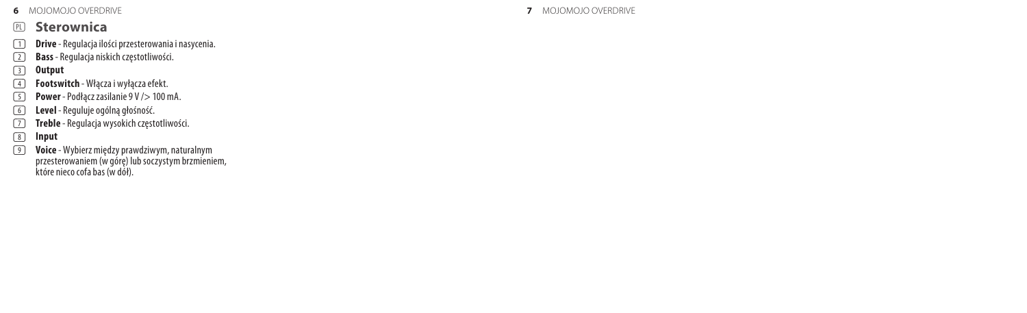**6** MOJOMOJO OVERDRIVE

## (PL) **Sterownica**

- (1) **Drive** Regulacja ilości przesterowania i nasycenia.
- (2) **Bass** Regulacja niskich częstotliwości.
- (3) **Output**
- **4 Footswitch** Włącza i wyłącza efekt.<br> **Film Power** Podłącz zasilanie 9 V /> 100 r
- (5) **Power** Podłącz zasilanie 9 V /> 100 mA.
- (6) **Level** Reguluje ogólną głośność.
- (7) **Treble** Regulacja wysokich częstotliwości.
- (8) **Input**
- (9) **Voice** Wybierz między prawdziwym, naturalnym przesterowaniem (w górę) lub soczystym brzmieniem, które nieco cofa bas (w dół).

#### **7** MOJOMOJO OVERDRIVE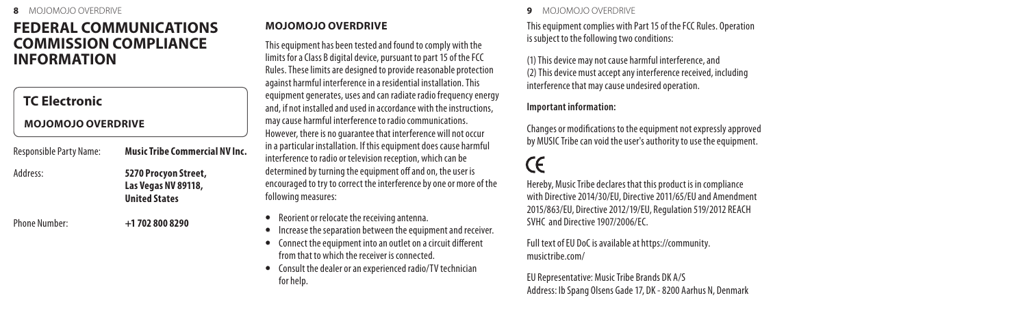# **FEDERAL COMMUNICATIONS COMMISSION COMPLIANCE INFORMATION**

## **TC Electronic**

#### **MOJOMOJO OVERDRIVE**

Responsible Party Name: **Music Tribe Commercial NV Inc.**

Address: **5270 Procyon Street, Las Vegas NV 89118, United States**

Phone Number: **+1 702 800 8290**

## **MOJOMOJO OVERDRIVE**

This equipment has been tested and found to comply with the limits for a Class B digital device, pursuant to part 15 of the FCC Rules. These limits are designed to provide reasonable protection against harmful interference in a residential installation. This equipment generates, uses and can radiate radio frequency energy and, if not installed and used in accordance with the instructions, may cause harmful interference to radio communications. However, there is no guarantee that interference will not occur in a particular installation. If this equipment does cause harmful interference to radio or television reception, which can be determined by turning the equipment off and on, the user is encouraged to try to correct the interference by one or more of the following measures:

- Reorient or relocate the receiving antenna.
- Increase the separation between the equipment and receiver.
- Connect the equipment into an outlet on a circuit different from that to which the receiver is connected.
- Consult the dealer or an experienced radio/TV technician for help.

#### **8** MOJOMOJO OVERDRIVE **9** MOJOMOJO OVERDRIVE

This equipment complies with Part 15 of the FCC Rules. Operation is subject to the following two conditions:

(1) This device may not cause harmful interference, and (2) This device must accept any interference received, including interference that may cause undesired operation.

#### **Important information:**

Changes or modifications to the equipment not expressly approved by MUSIC Tribe can void the user's authority to use the equipment.

# **CE**

Hereby, Music Tribe declares that this product is in compliance with Directive 2014/30/EU, Directive 2011/65/EU and Amendment 2015/863/EU, Directive 2012/19/EU, Regulation 519/2012 REACH SVHC and Directive 1907/2006/EC.

Full text of EU DoC is available at https://community. musictribe.com/

EU Representative: Music Tribe Brands DK A/S Address: Ib Spang Olsens Gade 17, DK - 8200 Aarhus N, Denmark